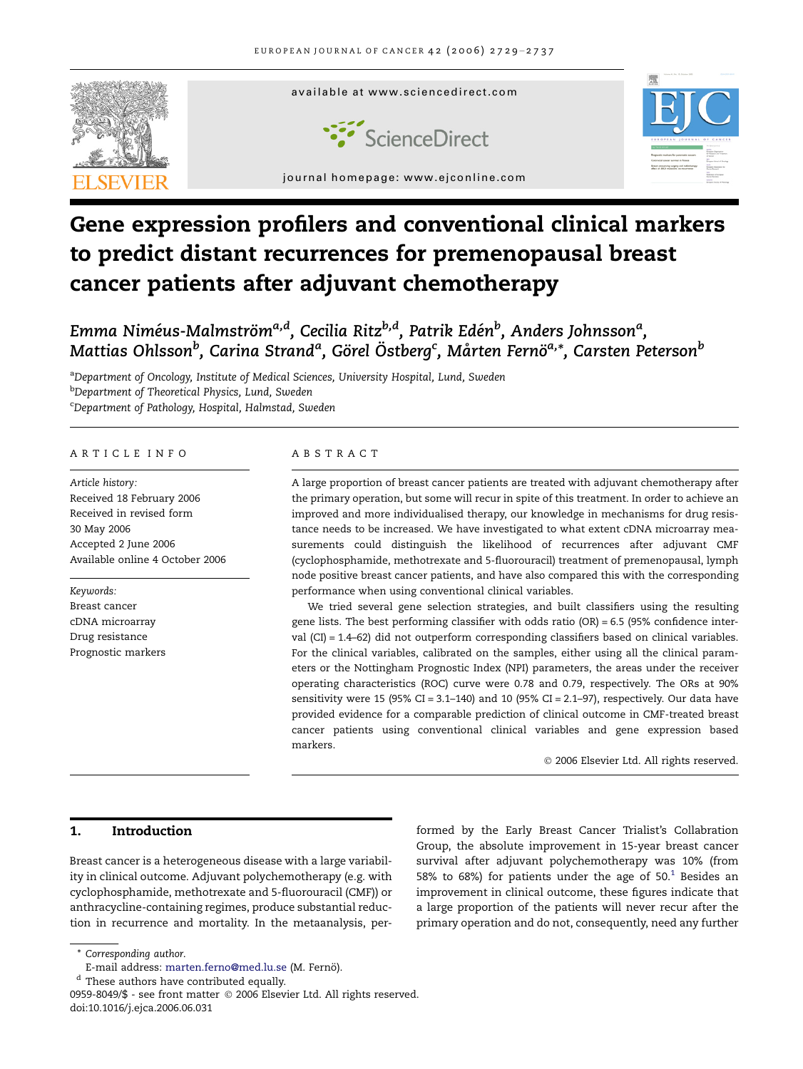

# Gene expression profilers and conventional clinical markers to predict distant recurrences for premenopausal breast cancer patients after adjuvant chemotherapy

Emma Niméus-Malmström<sup>a,d</sup>, Cecilia Ritz<sup>b,d</sup>, Patrik Edén<sup>b</sup>, Anders Johnsson<sup>a</sup>, Mattias Ohlsson $^b$ , Carina Strand<sup>a</sup>, Görel Östberg<sup>c</sup>, Mårten Fernö<sup>a,</sup>\*, Carsten Peterson $^b$ 

<sup>a</sup>Department of Oncology, Institute of Medical Sciences, University Hospital, Lund, Sweden <sup>b</sup>Department of Theoretical Physics, Lund, Sweden <sup>c</sup>Department of Pathology, Hospital, Halmstad, Sweden

#### ARTICLE INFO

Article history: Received 18 February 2006 Received in revised form 30 May 2006 Accepted 2 June 2006 Available online 4 October 2006

Keywords: Breast cancer cDNA microarray Drug resistance Prognostic markers

# ABSTRACT

A large proportion of breast cancer patients are treated with adjuvant chemotherapy after the primary operation, but some will recur in spite of this treatment. In order to achieve an improved and more individualised therapy, our knowledge in mechanisms for drug resistance needs to be increased. We have investigated to what extent cDNA microarray measurements could distinguish the likelihood of recurrences after adjuvant CMF (cyclophosphamide, methotrexate and 5-fluorouracil) treatment of premenopausal, lymph node positive breast cancer patients, and have also compared this with the corresponding performance when using conventional clinical variables.

We tried several gene selection strategies, and built classifiers using the resulting gene lists. The best performing classifier with odds ratio (OR) = 6.5 (95% confidence interval (CI) = 1.4–62) did not outperform corresponding classifiers based on clinical variables. For the clinical variables, calibrated on the samples, either using all the clinical parameters or the Nottingham Prognostic Index (NPI) parameters, the areas under the receiver operating characteristics (ROC) curve were 0.78 and 0.79, respectively. The ORs at 90% sensitivity were 15 (95% CI = 3.1-140) and 10 (95% CI = 2.1-97), respectively. Our data have provided evidence for a comparable prediction of clinical outcome in CMF-treated breast cancer patients using conventional clinical variables and gene expression based markers.

- 2006 Elsevier Ltd. All rights reserved.

# 1. Introduction

Breast cancer is a heterogeneous disease with a large variability in clinical outcome. Adjuvant polychemotherapy (e.g. with cyclophosphamide, methotrexate and 5-fluorouracil (CMF)) or anthracycline-containing regimes, produce substantial reduction in recurrence and mortality. In the metaanalysis, per-

formed by the Early Breast Cancer Trialist's Collabration Group, the absolute improvement in 15-year breast cancer survival after adjuvant polychemotherapy was 10% (from 58% to 68%) for patients under the age of  $50<sup>1</sup>$  $50<sup>1</sup>$  $50<sup>1</sup>$  Besides an improvement in clinical outcome, these figures indicate that a large proportion of the patients will never recur after the primary operation and do not, consequently, need any further

\* Corresponding author.

E-mail address: [marten.ferno@med.lu.se](mailto:marten.ferno@med.lu.se) (M. Fernö).

<sup>d</sup> These authors have contributed equally.

<sup>0959-8049/\$ -</sup> see front matter © 2006 Elsevier Ltd. All rights reserved. doi:10.1016/j.ejca.2006.06.031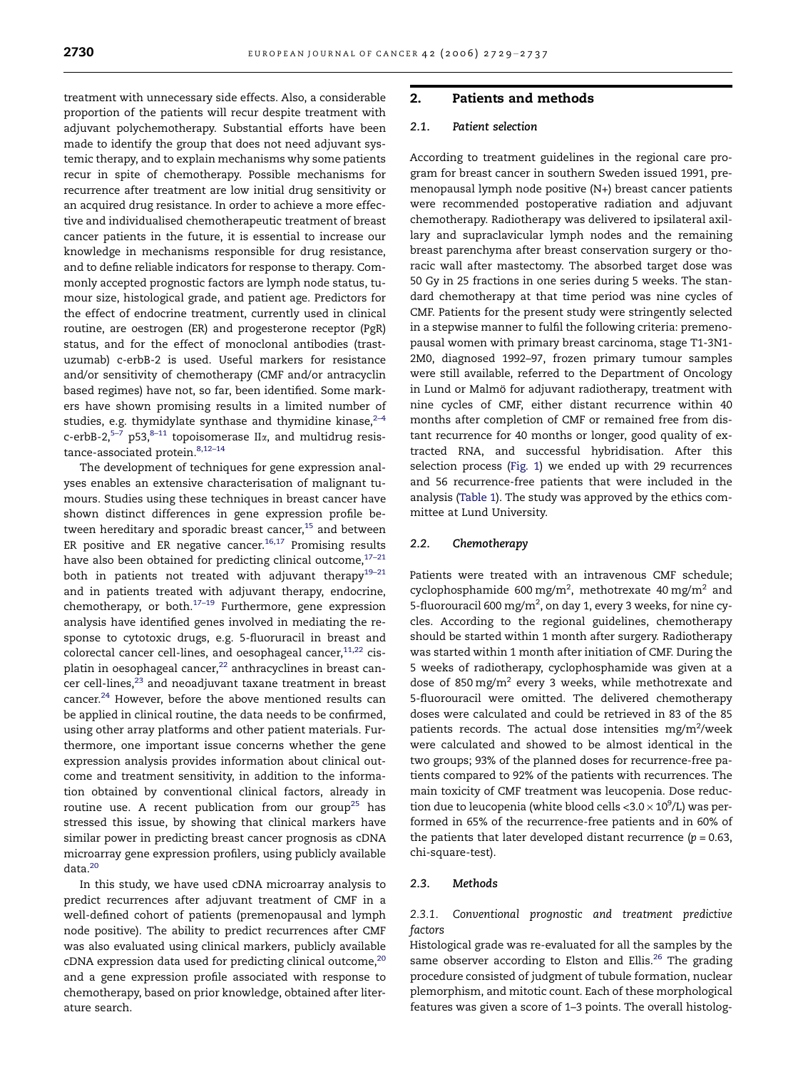treatment with unnecessary side effects. Also, a considerable proportion of the patients will recur despite treatment with adjuvant polychemotherapy. Substantial efforts have been made to identify the group that does not need adjuvant systemic therapy, and to explain mechanisms why some patients recur in spite of chemotherapy. Possible mechanisms for recurrence after treatment are low initial drug sensitivity or an acquired drug resistance. In order to achieve a more effective and individualised chemotherapeutic treatment of breast cancer patients in the future, it is essential to increase our knowledge in mechanisms responsible for drug resistance, and to define reliable indicators for response to therapy. Commonly accepted prognostic factors are lymph node status, tumour size, histological grade, and patient age. Predictors for the effect of endocrine treatment, currently used in clinical routine, are oestrogen (ER) and progesterone receptor (PgR) status, and for the effect of monoclonal antibodies (trastuzumab) c-erbB-2 is used. Useful markers for resistance and/or sensitivity of chemotherapy (CMF and/or antracyclin based regimes) have not, so far, been identified. Some markers have shown promising results in a limited number of studies, e.g. thymidylate synthase and thymidine kinase, $2-4$ c-erbB-2,<sup>[5–7](#page-7-0)</sup> p53,<sup>8–11</sup> topoisomerase II $\alpha$ , and multidrug resis-tance-associated protein.<sup>[8,12–14](#page-7-0)</sup>

The development of techniques for gene expression analyses enables an extensive characterisation of malignant tumours. Studies using these techniques in breast cancer have shown distinct differences in gene expression profile be-tween hereditary and sporadic breast cancer,<sup>[15](#page-7-0)</sup> and between ER positive and ER negative cancer. $16,17$  Promising results have also been obtained for predicting clinical outcome, $17-21$ both in patients not treated with adjuvant therapy<sup>19-21</sup> and in patients treated with adjuvant therapy, endocrine, chemotherapy, or both. $17-19$  Furthermore, gene expression analysis have identified genes involved in mediating the response to cytotoxic drugs, e.g. 5-fluoruracil in breast and colorectal cancer cell-lines, and oesophageal cancer, $11,22$  cisplatin in oesophageal cancer, $22$  anthracyclines in breast can-cer cell-lines,<sup>[23](#page-7-0)</sup> and neoadjuvant taxane treatment in breast cancer.<sup>[24](#page-7-0)</sup> However, before the above mentioned results can be applied in clinical routine, the data needs to be confirmed, using other array platforms and other patient materials. Furthermore, one important issue concerns whether the gene expression analysis provides information about clinical outcome and treatment sensitivity, in addition to the information obtained by conventional clinical factors, already in routine use. A recent publication from our group<sup>25</sup> has stressed this issue, by showing that clinical markers have similar power in predicting breast cancer prognosis as cDNA microarray gene expression profilers, using publicly available data.[20](#page-7-0)

In this study, we have used cDNA microarray analysis to predict recurrences after adjuvant treatment of CMF in a well-defined cohort of patients (premenopausal and lymph node positive). The ability to predict recurrences after CMF was also evaluated using clinical markers, publicly available  $c$ DNA expression data used for predicting clinical outcome, $20$ and a gene expression profile associated with response to chemotherapy, based on prior knowledge, obtained after literature search.

# 2. Patients and methods

# 2.1. Patient selection

According to treatment guidelines in the regional care program for breast cancer in southern Sweden issued 1991, premenopausal lymph node positive (N+) breast cancer patients were recommended postoperative radiation and adjuvant chemotherapy. Radiotherapy was delivered to ipsilateral axillary and supraclavicular lymph nodes and the remaining breast parenchyma after breast conservation surgery or thoracic wall after mastectomy. The absorbed target dose was 50 Gy in 25 fractions in one series during 5 weeks. The standard chemotherapy at that time period was nine cycles of CMF. Patients for the present study were stringently selected in a stepwise manner to fulfil the following criteria: premenopausal women with primary breast carcinoma, stage T1-3N1- 2M0, diagnosed 1992–97, frozen primary tumour samples were still available, referred to the Department of Oncology in Lund or Malmö for adjuvant radiotherapy, treatment with nine cycles of CMF, either distant recurrence within 40 months after completion of CMF or remained free from distant recurrence for 40 months or longer, good quality of extracted RNA, and successful hybridisation. After this selection process ([Fig. 1](#page-2-0)) we ended up with 29 recurrences and 56 recurrence-free patients that were included in the analysis ([Table 1\)](#page-3-0). The study was approved by the ethics committee at Lund University.

### 2.2. Chemotherapy

Patients were treated with an intravenous CMF schedule; cyclophosphamide 600 mg/m<sup>2</sup>, methotrexate 40 mg/m<sup>2</sup> and 5-fluorouracil 600 mg/m<sup>2</sup>, on day 1, every 3 weeks, for nine cycles. According to the regional guidelines, chemotherapy should be started within 1 month after surgery. Radiotherapy was started within 1 month after initiation of CMF. During the 5 weeks of radiotherapy, cyclophosphamide was given at a dose of 850 mg/m<sup>2</sup> every 3 weeks, while methotrexate and 5-fluorouracil were omitted. The delivered chemotherapy doses were calculated and could be retrieved in 83 of the 85 patients records. The actual dose intensities  $mg/m^2$ /week were calculated and showed to be almost identical in the two groups; 93% of the planned doses for recurrence-free patients compared to 92% of the patients with recurrences. The main toxicity of CMF treatment was leucopenia. Dose reduction due to leucopenia (white blood cells < $3.0 \times 10^9$ /L) was performed in 65% of the recurrence-free patients and in 60% of the patients that later developed distant recurrence ( $p = 0.63$ , chi-square-test).

#### 2.3. Methods

2.3.1. Conventional prognostic and treatment predictive factors

Histological grade was re-evaluated for all the samples by the same observer according to Elston and Ellis.<sup>[26](#page-7-0)</sup> The grading procedure consisted of judgment of tubule formation, nuclear plemorphism, and mitotic count. Each of these morphological features was given a score of 1–3 points. The overall histolog-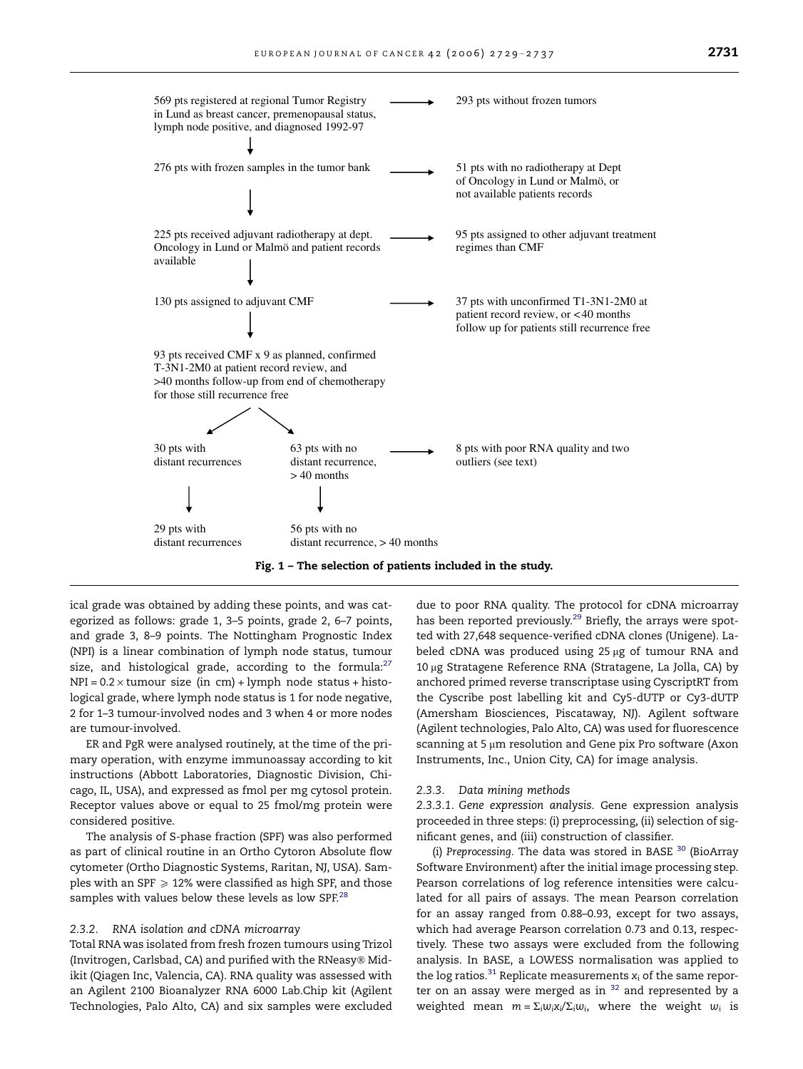<span id="page-2-0"></span>

Fig. 1 – The selection of patients included in the study.

ical grade was obtained by adding these points, and was categorized as follows: grade 1, 3–5 points, grade 2, 6–7 points, and grade 3, 8–9 points. The Nottingham Prognostic Index (NPI) is a linear combination of lymph node status, tumour size, and histological grade, according to the formula: $27$  $NPI = 0.2 \times$ tumour size (in cm) + lymph node status + histological grade, where lymph node status is 1 for node negative, 2 for 1–3 tumour-involved nodes and 3 when 4 or more nodes are tumour-involved.

ER and PgR were analysed routinely, at the time of the primary operation, with enzyme immunoassay according to kit instructions (Abbott Laboratories, Diagnostic Division, Chicago, IL, USA), and expressed as fmol per mg cytosol protein. Receptor values above or equal to 25 fmol/mg protein were considered positive.

The analysis of S-phase fraction (SPF) was also performed as part of clinical routine in an Ortho Cytoron Absolute flow cytometer (Ortho Diagnostic Systems, Raritan, NJ, USA). Samples with an SPF  $\ge$  12% were classified as high SPF, and those samples with values below these levels as low SPF.<sup>[28](#page-7-0)</sup>

#### 2.3.2. RNA isolation and cDNA microarray

Total RNA was isolated from fresh frozen tumours using Trizol (Invitrogen, Carlsbad, CA) and purified with the RNeasy® Midikit (Qiagen Inc, Valencia, CA). RNA quality was assessed with an Agilent 2100 Bioanalyzer RNA 6000 Lab.Chip kit (Agilent Technologies, Palo Alto, CA) and six samples were excluded

due to poor RNA quality. The protocol for cDNA microarray has been reported previously.<sup>29</sup> Briefly, the arrays were spotted with 27,648 sequence-verified cDNA clones (Unigene). Labeled cDNA was produced using  $25 \mu$ g of tumour RNA and 10 µg Stratagene Reference RNA (Stratagene, La Jolla, CA) by anchored primed reverse transcriptase using CyscriptRT from the Cyscribe post labelling kit and Cy5-dUTP or Cy3-dUTP (Amersham Biosciences, Piscataway, NJ). Agilent software (Agilent technologies, Palo Alto, CA) was used for fluorescence scanning at 5  $\mu$ m resolution and Gene pix Pro software (Axon Instruments, Inc., Union City, CA) for image analysis.

#### 2.3.3. Data mining methods

2.3.3.1. Gene expression analysis. Gene expression analysis proceeded in three steps: (i) preprocessing, (ii) selection of significant genes, and (iii) construction of classifier.

(i) Preprocessing. The data was stored in BASE  $^{30}$  $^{30}$  $^{30}$  (BioArray Software Environment) after the initial image processing step. Pearson correlations of log reference intensities were calculated for all pairs of assays. The mean Pearson correlation for an assay ranged from 0.88–0.93, except for two assays, which had average Pearson correlation 0.73 and 0.13, respectively. These two assays were excluded from the following analysis. In BASE, a LOWESS normalisation was applied to the log ratios.<sup>[31](#page-7-0)</sup> Replicate measurements  $x_i$  of the same reporter on an assay were merged as in  $32$  and represented by a weighted mean  $m = \sum_i w_i x_i / \sum_i w_i$ , where the weight  $w_i$  is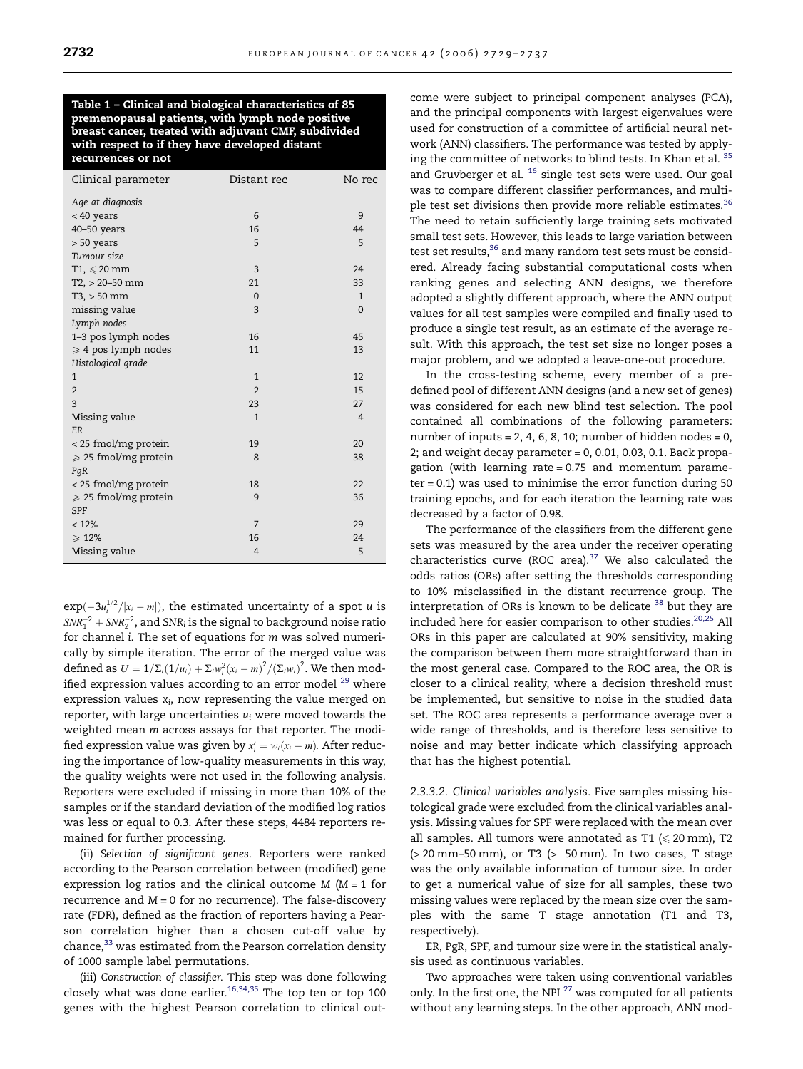<span id="page-3-0"></span>Table 1 – Clinical and biological characteristics of 85 premenopausal patients, with lymph node positive breast cancer, treated with adjuvant CMF, subdivided with respect to if they have developed distant recurrences or not

| Clinical parameter             | Distant rec    | No rec         |
|--------------------------------|----------------|----------------|
| Age at diagnosis               |                |                |
| $< 40$ years                   | 6              | 9              |
| 40-50 years                    | 16             | 44             |
| > 50 years                     | 5              | 5              |
| Tumour size                    |                |                |
| $T1 \leqslant 20 \text{ mm}$   | 3              | 24             |
| $T2, > 20 - 50$ mm             | 21             | 33             |
| $T3, > 50$ mm                  | $\Omega$       | $\mathbf{1}$   |
| missing value                  | 3              | $\Omega$       |
| Lymph nodes                    |                |                |
| 1-3 pos lymph nodes            | 16             | 45             |
| $\geqslant$ 4 pos lymph nodes  | 11             | 13             |
| Histological grade             |                |                |
| $\mathbf{1}$                   | $\mathbf{1}$   | 12             |
| $\overline{2}$                 | $\overline{2}$ | 15             |
| 3                              | 23             | 27             |
| Missing value                  | $\mathbf{1}$   | $\overline{4}$ |
| ER                             |                |                |
| < 25 fmol/mg protein           | 19             | 20             |
| $\geqslant$ 25 fmol/mg protein | 8              | 38             |
| PqR                            |                |                |
| < 25 fmol/mg protein           | 18             | 22             |
| $\geqslant$ 25 fmol/mg protein | 9              | 36             |
| <b>SPF</b>                     |                |                |
| < 12%                          | 7              | 29             |
| $\geqslant$ 12%                | 16             | 24             |
| Missing value                  | $\overline{4}$ | 5              |

 $exp(-3u_i^{1/2}/|x_i - m|)$ , the estimated uncertainty of a spot u is  $\mathit{SNR}_{1}^{-2}+\mathit{SNR}_{2}^{-2},$  and  $\mathit{SNR}_{i}$  is the signal to background noise ratio for channel i. The set of equations for m was solved numerically by simple iteration. The error of the merged value was defined as  $U = 1/\Sigma_i(1/u_i) + \Sigma_i w_i^2(x_i - m)^2/(\Sigma_i w_i)^2$ . We then modified expression values according to an error model  $^{29}$  $^{29}$  $^{29}$  where expression values  $x_i$ , now representing the value merged on reporter, with large uncertainties  $u_i$  were moved towards the weighted mean m across assays for that reporter. The modified expression value was given by  $x'_i = w_i(x_i - m)$ . After reducing the importance of low-quality measurements in this way, the quality weights were not used in the following analysis. Reporters were excluded if missing in more than 10% of the samples or if the standard deviation of the modified log ratios was less or equal to 0.3. After these steps, 4484 reporters remained for further processing.

(ii) Selection of significant genes. Reporters were ranked according to the Pearson correlation between (modified) gene expression log ratios and the clinical outcome  $M$  ( $M = 1$  for recurrence and  $M = 0$  for no recurrence). The false-discovery rate (FDR), defined as the fraction of reporters having a Pearson correlation higher than a chosen cut-off value by chance,<sup>[33](#page-7-0)</sup> was estimated from the Pearson correlation density of 1000 sample label permutations.

(iii) Construction of classifier. This step was done following closely what was done earlier. $16,34,35$  The top ten or top 100 genes with the highest Pearson correlation to clinical outcome were subject to principal component analyses (PCA), and the principal components with largest eigenvalues were used for construction of a committee of artificial neural network (ANN) classifiers. The performance was tested by applying the committee of networks to blind tests. In Khan et al. [35](#page-7-0) and Gruvberger et al. <sup>[16](#page-7-0)</sup> single test sets were used. Our goal was to compare different classifier performances, and multi-ple test set divisions then provide more reliable estimates.<sup>[36](#page-8-0)</sup> The need to retain sufficiently large training sets motivated small test sets. However, this leads to large variation between test set results,<sup>36</sup> and many random test sets must be considered. Already facing substantial computational costs when ranking genes and selecting ANN designs, we therefore adopted a slightly different approach, where the ANN output values for all test samples were compiled and finally used to produce a single test result, as an estimate of the average result. With this approach, the test set size no longer poses a major problem, and we adopted a leave-one-out procedure.

In the cross-testing scheme, every member of a predefined pool of different ANN designs (and a new set of genes) was considered for each new blind test selection. The pool contained all combinations of the following parameters: number of inputs =  $2, 4, 6, 8, 10$ ; number of hidden nodes =  $0$ , 2; and weight decay parameter  $= 0, 0.01, 0.03, 0.1$ . Back propagation (with learning rate = 0.75 and momentum parameter = 0.1) was used to minimise the error function during 50 training epochs, and for each iteration the learning rate was decreased by a factor of 0.98.

The performance of the classifiers from the different gene sets was measured by the area under the receiver operating characteristics curve (ROC area). $37$  We also calculated the odds ratios (ORs) after setting the thresholds corresponding to 10% misclassified in the distant recurrence group. The interpretation of ORs is known to be delicate [38](#page-8-0) but they are included here for easier comparison to other studies.<sup>[20,25](#page-7-0)</sup> All ORs in this paper are calculated at 90% sensitivity, making the comparison between them more straightforward than in the most general case. Compared to the ROC area, the OR is closer to a clinical reality, where a decision threshold must be implemented, but sensitive to noise in the studied data set. The ROC area represents a performance average over a wide range of thresholds, and is therefore less sensitive to noise and may better indicate which classifying approach that has the highest potential.

2.3.3.2. Clinical variables analysis. Five samples missing histological grade were excluded from the clinical variables analysis. Missing values for SPF were replaced with the mean over all samples. All tumors were annotated as T1 ( $\leq 20$  mm), T2  $(> 20 \text{ mm}-50 \text{ mm})$ , or T3  $(> 50 \text{ mm})$ . In two cases, T stage was the only available information of tumour size. In order to get a numerical value of size for all samples, these two missing values were replaced by the mean size over the samples with the same T stage annotation (T1 and T3, respectively).

ER, PgR, SPF, and tumour size were in the statistical analysis used as continuous variables.

Two approaches were taken using conventional variables only. In the first one, the NPI<sup>[27](#page-7-0)</sup> was computed for all patients without any learning steps. In the other approach, ANN mod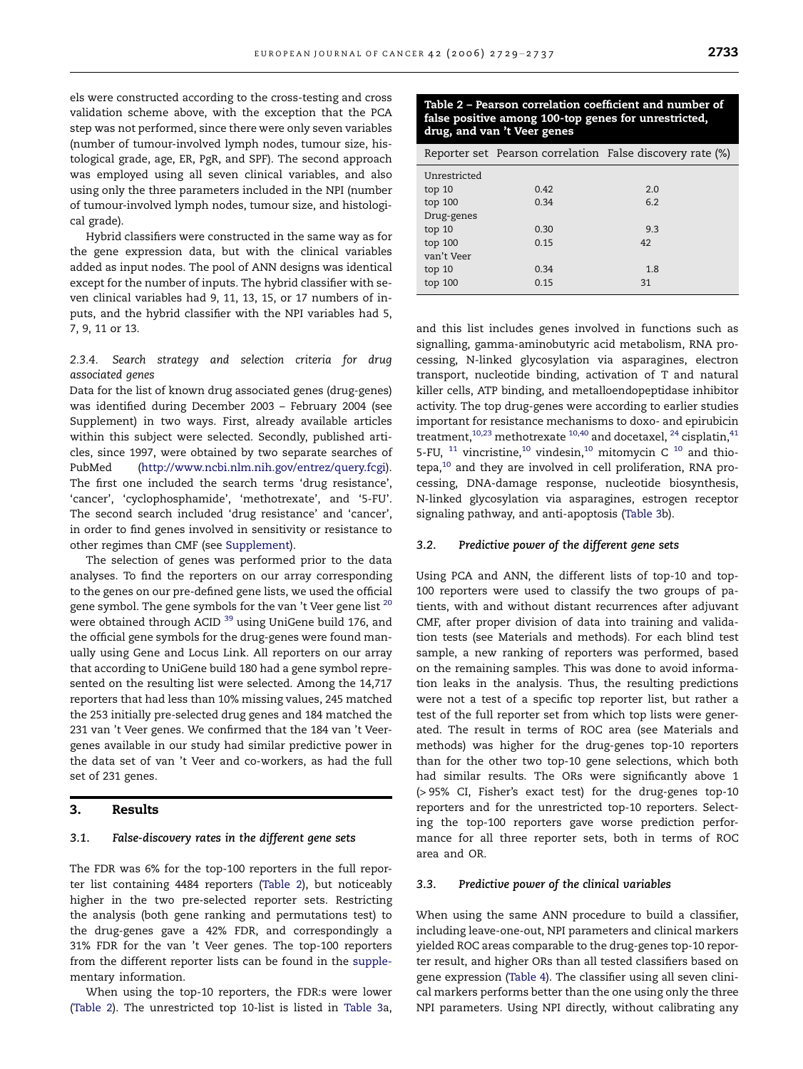els were constructed according to the cross-testing and cross validation scheme above, with the exception that the PCA step was not performed, since there were only seven variables (number of tumour-involved lymph nodes, tumour size, histological grade, age, ER, PgR, and SPF). The second approach was employed using all seven clinical variables, and also using only the three parameters included in the NPI (number of tumour-involved lymph nodes, tumour size, and histological grade).

Hybrid classifiers were constructed in the same way as for the gene expression data, but with the clinical variables added as input nodes. The pool of ANN designs was identical except for the number of inputs. The hybrid classifier with seven clinical variables had 9, 11, 13, 15, or 17 numbers of inputs, and the hybrid classifier with the NPI variables had 5, 7, 9, 11 or 13.

2.3.4. Search strategy and selection criteria for drug associated genes

Data for the list of known drug associated genes (drug-genes) was identified during December 2003 – February 2004 (see Supplement) in two ways. First, already available articles within this subject were selected. Secondly, published articles, since 1997, were obtained by two separate searches of PubMed (<http://www.ncbi.nlm.nih.gov/entrez/query.fcgi>). The first one included the search terms 'drug resistance', 'cancer', 'cyclophosphamide', 'methotrexate', and '5-FU'. The second search included 'drug resistance' and 'cancer', in order to find genes involved in sensitivity or resistance to other regimes than CMF (see Supplement).

The selection of genes was performed prior to the data analyses. To find the reporters on our array corresponding to the genes on our pre-defined gene lists, we used the official gene symbol. The gene symbols for the van 't Veer gene list <sup>[20](#page-7-0)</sup> were obtained through ACID<sup>[39](#page-8-0)</sup> using UniGene build 176, and the official gene symbols for the drug-genes were found manually using Gene and Locus Link. All reporters on our array that according to UniGene build 180 had a gene symbol represented on the resulting list were selected. Among the 14,717 reporters that had less than 10% missing values, 245 matched the 253 initially pre-selected drug genes and 184 matched the 231 van 't Veer genes. We confirmed that the 184 van 't Veergenes available in our study had similar predictive power in the data set of van 't Veer and co-workers, as had the full set of 231 genes.

## 3. Results

## 3.1. False-discovery rates in the different gene sets

The FDR was 6% for the top-100 reporters in the full reporter list containing 4484 reporters (Table 2), but noticeably higher in the two pre-selected reporter sets. Restricting the analysis (both gene ranking and permutations test) to the drug-genes gave a 42% FDR, and correspondingly a 31% FDR for the van 't Veer genes. The top-100 reporters from the different reporter lists can be found in the supplementary information.

When using the top-10 reporters, the FDR:s were lower (Table 2). The unrestricted top 10-list is listed in [Table 3](#page-5-0)a,

# Table 2 – Pearson correlation coefficient and number of false positive among 100-top genes for unrestricted, drug, and van 't Veer genes

|              |      | Reporter set Pearson correlation False discovery rate (%) |
|--------------|------|-----------------------------------------------------------|
| Unrestricted |      |                                                           |
| top 10       | 0.42 | 2.0                                                       |
| top 100      | 0.34 | 6.2                                                       |
| Drug-genes   |      |                                                           |
| top 10       | 0.30 | 9.3                                                       |
| top 100      | 0.15 | 42                                                        |
| van't Veer   |      |                                                           |
| top 10       | 0.34 | 1.8                                                       |
| top 100      | 0.15 | 31                                                        |

and this list includes genes involved in functions such as signalling, gamma-aminobutyric acid metabolism, RNA processing, N-linked glycosylation via asparagines, electron transport, nucleotide binding, activation of T and natural killer cells, ATP binding, and metalloendopeptidase inhibitor activity. The top drug-genes were according to earlier studies important for resistance mechanisms to doxo- and epirubicin treatment,<sup>10,23</sup> methotrexate  $10,40$  and docetaxel,  $24$  cisplatin,  $41$ 5-FU,  $^{11}$  $^{11}$  $^{11}$  vincristine, $^{10}$  $^{10}$  $^{10}$  vindesin, $^{10}$  mitomycin C  $^{10}$  and thio- $tepa<sub>10</sub>$  $tepa<sub>10</sub>$  $tepa<sub>10</sub>$  and they are involved in cell proliferation, RNA processing, DNA-damage response, nucleotide biosynthesis, N-linked glycosylation via asparagines, estrogen receptor signaling pathway, and anti-apoptosis ([Table 3](#page-5-0)b).

# 3.2. Predictive power of the different gene sets

Using PCA and ANN, the different lists of top-10 and top-100 reporters were used to classify the two groups of patients, with and without distant recurrences after adjuvant CMF, after proper division of data into training and validation tests (see Materials and methods). For each blind test sample, a new ranking of reporters was performed, based on the remaining samples. This was done to avoid information leaks in the analysis. Thus, the resulting predictions were not a test of a specific top reporter list, but rather a test of the full reporter set from which top lists were generated. The result in terms of ROC area (see Materials and methods) was higher for the drug-genes top-10 reporters than for the other two top-10 gene selections, which both had similar results. The ORs were significantly above 1 (> 95% CI, Fisher's exact test) for the drug-genes top-10 reporters and for the unrestricted top-10 reporters. Selecting the top-100 reporters gave worse prediction performance for all three reporter sets, both in terms of ROC area and OR.

#### 3.3. Predictive power of the clinical variables

When using the same ANN procedure to build a classifier, including leave-one-out, NPI parameters and clinical markers yielded ROC areas comparable to the drug-genes top-10 reporter result, and higher ORs than all tested classifiers based on gene expression [\(Table 4](#page-5-0)). The classifier using all seven clinical markers performs better than the one using only the three NPI parameters. Using NPI directly, without calibrating any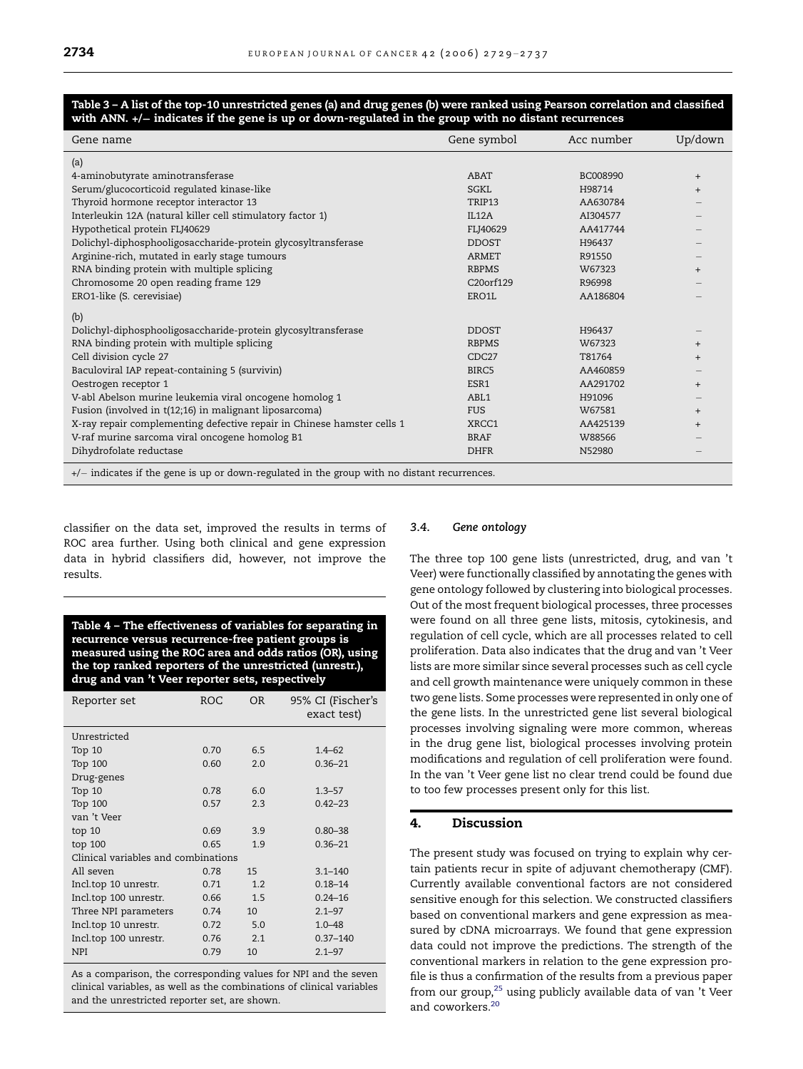## <span id="page-5-0"></span>Table 3 – A list of the top-10 unrestricted genes (a) and drug genes (b) were ranked using Pearson correlation and classified with ANN. +/- indicates if the gene is up or down-regulated in the group with no distant recurrences

| Gene name                                                                                     | Gene symbol            | Acc number | Up/down |  |
|-----------------------------------------------------------------------------------------------|------------------------|------------|---------|--|
| (a)                                                                                           |                        |            |         |  |
| 4-aminobutyrate aminotransferase                                                              | ABAT                   | BC008990   | $^{+}$  |  |
| Serum/glucocorticoid regulated kinase-like                                                    | SGKL                   | H98714     | $^{+}$  |  |
| Thyroid hormone receptor interactor 13                                                        | TRIP13                 | AA630784   |         |  |
| Interleukin 12A (natural killer cell stimulatory factor 1)                                    | <b>IL12A</b>           | AI304577   |         |  |
| Hypothetical protein FLJ40629                                                                 | FLJ40629               | AA417744   |         |  |
| Dolichyl-diphosphooligosaccharide-protein glycosyltransferase                                 | <b>DDOST</b>           | H96437     |         |  |
| Arginine-rich, mutated in early stage tumours                                                 | ARMET                  | R91550     |         |  |
| RNA binding protein with multiple splicing                                                    | <b>RBPMS</b>           | W67323     | $^{+}$  |  |
| Chromosome 20 open reading frame 129                                                          | C <sub>20</sub> orf129 | R96998     |         |  |
| ERO1-like (S. cerevisiae)                                                                     | ERO1L                  | AA186804   |         |  |
| (b)                                                                                           |                        |            |         |  |
| Dolichyl-diphosphooligosaccharide-protein glycosyltransferase                                 | <b>DDOST</b>           | H96437     |         |  |
| RNA binding protein with multiple splicing                                                    | <b>RBPMS</b>           | W67323     | $^{+}$  |  |
| Cell division cycle 27                                                                        | CDC27                  | T81764     | $^{+}$  |  |
| Baculoviral IAP repeat-containing 5 (survivin)                                                | BIRC5                  | AA460859   |         |  |
| Oestrogen receptor 1                                                                          | ESR1                   | AA291702   | $^{+}$  |  |
| V-abl Abelson murine leukemia viral oncogene homolog 1                                        | ABL1                   | H91096     |         |  |
| Fusion (involved in t(12;16) in malignant liposarcoma)                                        | <b>FUS</b>             | W67581     | $^{+}$  |  |
| X-ray repair complementing defective repair in Chinese hamster cells 1                        | XRCC1                  | AA425139   | $^{+}$  |  |
| V-raf murine sarcoma viral oncogene homolog B1                                                | <b>BRAF</b>            | W88566     |         |  |
| Dihydrofolate reductase                                                                       | <b>DHFR</b>            | N52980     |         |  |
| $+/-$ indicates if the gene is up or down-regulated in the group with no distant recurrences. |                        |            |         |  |

classifier on the data set, improved the results in terms of ROC area further. Using both clinical and gene expression data in hybrid classifiers did, however, not improve the results.

Table 4 – The effectiveness of variables for separating in recurrence versus recurrence-free patient groups is measured using the ROC area and odds ratios (OR), using the top ranked reporters of the unrestricted (unrestr.), drug and van 't Veer reporter sets, respectively

| Reporter set                        | ROC  | OR  | 95% CI (Fischer's<br>exact test) |  |
|-------------------------------------|------|-----|----------------------------------|--|
| Unrestricted                        |      |     |                                  |  |
| Top 10                              | 0.70 | 6.5 | $1.4 - 62$                       |  |
| Top 100                             | 0.60 | 2.0 | $0.36 - 21$                      |  |
| Drug-genes                          |      |     |                                  |  |
| Top 10                              | 0.78 | 6.0 | $1.3 - 57$                       |  |
| Top 100                             | 0.57 | 2.3 | $0.42 - 23$                      |  |
| van 't Veer                         |      |     |                                  |  |
| top 10                              | 0.69 | 3.9 | $0.80 - 38$                      |  |
| top 100                             | 0.65 | 1.9 | $0.36 - 21$                      |  |
| Clinical variables and combinations |      |     |                                  |  |
| All seven                           | 0.78 | 15  | $3.1 - 140$                      |  |
| Incl.top 10 unrestr.                | 0.71 | 1.2 | $0.18 - 14$                      |  |
| Incl.top 100 unrestr.               | 0.66 | 1.5 | $0.24 - 16$                      |  |
| Three NPI parameters                | 0.74 | 10  | $2.1 - 97$                       |  |
| Incl.top 10 unrestr.                | 0.72 | 5.0 | $1.0 - 48$                       |  |
| Incl.top 100 unrestr.               | 0.76 | 2.1 | $0.37 - 140$                     |  |
| <b>NPI</b>                          | 0.79 | 10  | $2.1 - 97$                       |  |

As a comparison, the corresponding values for NPI and the seven clinical variables, as well as the combinations of clinical variables and the unrestricted reporter set, are shown.

### 3.4. Gene ontology

The three top 100 gene lists (unrestricted, drug, and van 't Veer) were functionally classified by annotating the genes with gene ontology followed by clustering into biological processes. Out of the most frequent biological processes, three processes were found on all three gene lists, mitosis, cytokinesis, and regulation of cell cycle, which are all processes related to cell proliferation. Data also indicates that the drug and van 't Veer lists are more similar since several processes such as cell cycle and cell growth maintenance were uniquely common in these two gene lists. Some processes were represented in only one of the gene lists. In the unrestricted gene list several biological processes involving signaling were more common, whereas in the drug gene list, biological processes involving protein modifications and regulation of cell proliferation were found. In the van 't Veer gene list no clear trend could be found due to too few processes present only for this list.

# 4. Discussion

The present study was focused on trying to explain why certain patients recur in spite of adjuvant chemotherapy (CMF). Currently available conventional factors are not considered sensitive enough for this selection. We constructed classifiers based on conventional markers and gene expression as measured by cDNA microarrays. We found that gene expression data could not improve the predictions. The strength of the conventional markers in relation to the gene expression profile is thus a confirmation of the results from a previous paper from our group, $25$  using publicly available data of van 't Veer and coworkers.<sup>20</sup>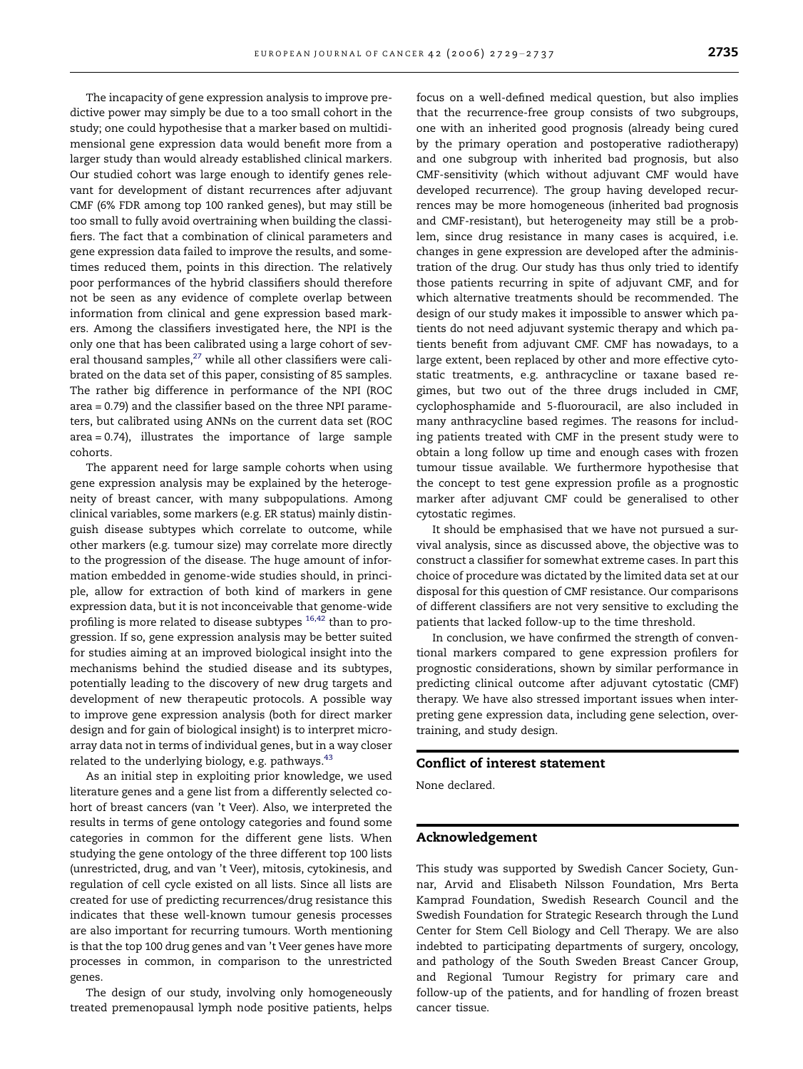The incapacity of gene expression analysis to improve predictive power may simply be due to a too small cohort in the study; one could hypothesise that a marker based on multidimensional gene expression data would benefit more from a larger study than would already established clinical markers. Our studied cohort was large enough to identify genes relevant for development of distant recurrences after adjuvant CMF (6% FDR among top 100 ranked genes), but may still be too small to fully avoid overtraining when building the classifiers. The fact that a combination of clinical parameters and gene expression data failed to improve the results, and sometimes reduced them, points in this direction. The relatively poor performances of the hybrid classifiers should therefore not be seen as any evidence of complete overlap between information from clinical and gene expression based markers. Among the classifiers investigated here, the NPI is the only one that has been calibrated using a large cohort of several thousand samples, $^{27}$  while all other classifiers were calibrated on the data set of this paper, consisting of 85 samples. The rather big difference in performance of the NPI (ROC area = 0.79) and the classifier based on the three NPI parameters, but calibrated using ANNs on the current data set (ROC area = 0.74), illustrates the importance of large sample cohorts.

The apparent need for large sample cohorts when using gene expression analysis may be explained by the heterogeneity of breast cancer, with many subpopulations. Among clinical variables, some markers (e.g. ER status) mainly distinguish disease subtypes which correlate to outcome, while other markers (e.g. tumour size) may correlate more directly to the progression of the disease. The huge amount of information embedded in genome-wide studies should, in principle, allow for extraction of both kind of markers in gene expression data, but it is not inconceivable that genome-wide profiling is more related to disease subtypes <sup>[16,42](#page-7-0)</sup> than to progression. If so, gene expression analysis may be better suited for studies aiming at an improved biological insight into the mechanisms behind the studied disease and its subtypes, potentially leading to the discovery of new drug targets and development of new therapeutic protocols. A possible way to improve gene expression analysis (both for direct marker design and for gain of biological insight) is to interpret microarray data not in terms of individual genes, but in a way closer related to the underlying biology, e.g. pathways. $43$ 

As an initial step in exploiting prior knowledge, we used literature genes and a gene list from a differently selected cohort of breast cancers (van 't Veer). Also, we interpreted the results in terms of gene ontology categories and found some categories in common for the different gene lists. When studying the gene ontology of the three different top 100 lists (unrestricted, drug, and van 't Veer), mitosis, cytokinesis, and regulation of cell cycle existed on all lists. Since all lists are created for use of predicting recurrences/drug resistance this indicates that these well-known tumour genesis processes are also important for recurring tumours. Worth mentioning is that the top 100 drug genes and van 't Veer genes have more processes in common, in comparison to the unrestricted genes.

The design of our study, involving only homogeneously treated premenopausal lymph node positive patients, helps

focus on a well-defined medical question, but also implies that the recurrence-free group consists of two subgroups, one with an inherited good prognosis (already being cured by the primary operation and postoperative radiotherapy) and one subgroup with inherited bad prognosis, but also CMF-sensitivity (which without adjuvant CMF would have developed recurrence). The group having developed recurrences may be more homogeneous (inherited bad prognosis and CMF-resistant), but heterogeneity may still be a problem, since drug resistance in many cases is acquired, i.e. changes in gene expression are developed after the administration of the drug. Our study has thus only tried to identify those patients recurring in spite of adjuvant CMF, and for which alternative treatments should be recommended. The design of our study makes it impossible to answer which patients do not need adjuvant systemic therapy and which patients benefit from adjuvant CMF. CMF has nowadays, to a large extent, been replaced by other and more effective cytostatic treatments, e.g. anthracycline or taxane based regimes, but two out of the three drugs included in CMF, cyclophosphamide and 5-fluorouracil, are also included in many anthracycline based regimes. The reasons for including patients treated with CMF in the present study were to obtain a long follow up time and enough cases with frozen tumour tissue available. We furthermore hypothesise that the concept to test gene expression profile as a prognostic marker after adjuvant CMF could be generalised to other cytostatic regimes.

It should be emphasised that we have not pursued a survival analysis, since as discussed above, the objective was to construct a classifier for somewhat extreme cases. In part this choice of procedure was dictated by the limited data set at our disposal for this question of CMF resistance. Our comparisons of different classifiers are not very sensitive to excluding the patients that lacked follow-up to the time threshold.

In conclusion, we have confirmed the strength of conventional markers compared to gene expression profilers for prognostic considerations, shown by similar performance in predicting clinical outcome after adjuvant cytostatic (CMF) therapy. We have also stressed important issues when interpreting gene expression data, including gene selection, overtraining, and study design.

# Conflict of interest statement

None declared.

# Acknowledgement

This study was supported by Swedish Cancer Society, Gunnar, Arvid and Elisabeth Nilsson Foundation, Mrs Berta Kamprad Foundation, Swedish Research Council and the Swedish Foundation for Strategic Research through the Lund Center for Stem Cell Biology and Cell Therapy. We are also indebted to participating departments of surgery, oncology, and pathology of the South Sweden Breast Cancer Group, and Regional Tumour Registry for primary care and follow-up of the patients, and for handling of frozen breast cancer tissue.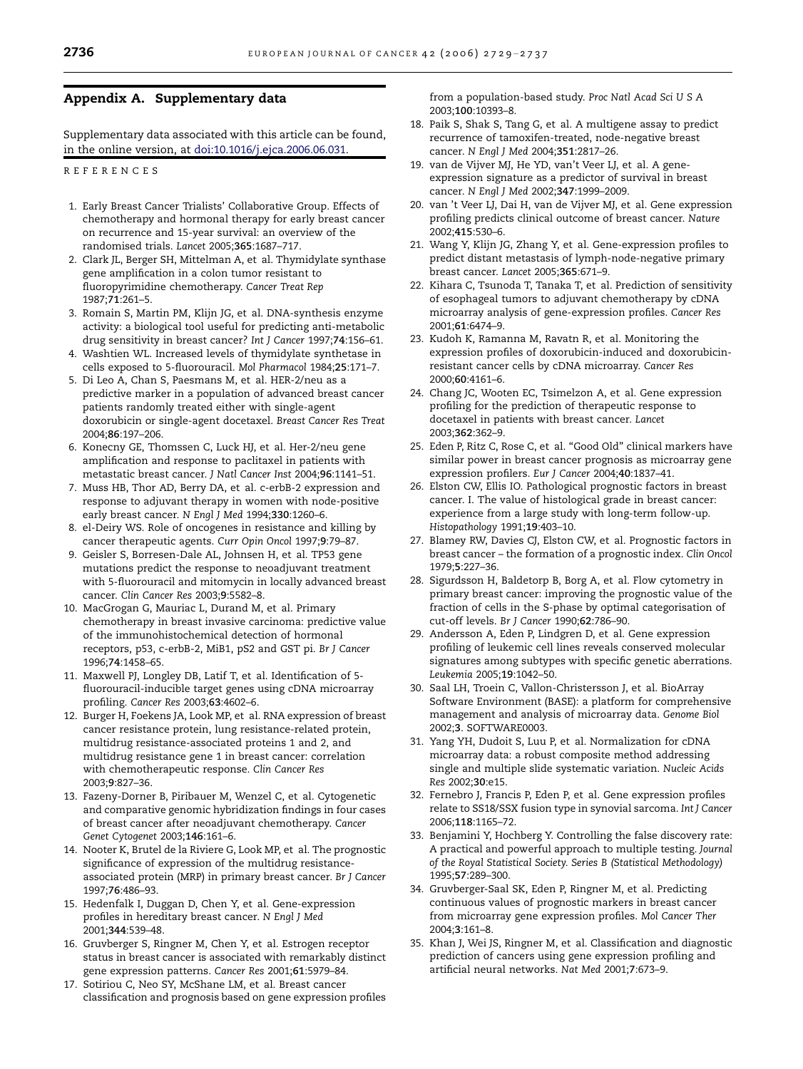# <span id="page-7-0"></span>Appendix A. Supplementary data

Supplementary data associated with this article can be found, in the online version, at [doi:10.1016/j.ejca.2006.06.031.](http://dx.doi.org/10.1016/j.ejca.2006.06.031)

REFERENCES

- 1. Early Breast Cancer Trialists' Collaborative Group. Effects of chemotherapy and hormonal therapy for early breast cancer on recurrence and 15-year survival: an overview of the randomised trials. Lancet 2005;365:1687–717.
- 2. Clark JL, Berger SH, Mittelman A, et al. Thymidylate synthase gene amplification in a colon tumor resistant to fluoropyrimidine chemotherapy. Cancer Treat Rep 1987;71:261–5.
- 3. Romain S, Martin PM, Klijn JG, et al. DNA-synthesis enzyme activity: a biological tool useful for predicting anti-metabolic drug sensitivity in breast cancer? Int J Cancer 1997;74:156–61.
- 4. Washtien WL. Increased levels of thymidylate synthetase in cells exposed to 5-fluorouracil. Mol Pharmacol 1984;25:171–7.
- 5. Di Leo A, Chan S, Paesmans M, et al. HER-2/neu as a predictive marker in a population of advanced breast cancer patients randomly treated either with single-agent doxorubicin or single-agent docetaxel. Breast Cancer Res Treat 2004;86:197–206.
- 6. Konecny GE, Thomssen C, Luck HJ, et al. Her-2/neu gene amplification and response to paclitaxel in patients with metastatic breast cancer. J Natl Cancer Inst 2004;96:1141–51.
- 7. Muss HB, Thor AD, Berry DA, et al. c-erbB-2 expression and response to adjuvant therapy in women with node-positive early breast cancer. N Engl J Med 1994;330:1260–6.
- 8. el-Deiry WS. Role of oncogenes in resistance and killing by cancer therapeutic agents. Curr Opin Oncol 1997;9:79–87.
- 9. Geisler S, Borresen-Dale AL, Johnsen H, et al. TP53 gene mutations predict the response to neoadjuvant treatment with 5-fluorouracil and mitomycin in locally advanced breast cancer. Clin Cancer Res 2003;9:5582–8.
- 10. MacGrogan G, Mauriac L, Durand M, et al. Primary chemotherapy in breast invasive carcinoma: predictive value of the immunohistochemical detection of hormonal receptors, p53, c-erbB-2, MiB1, pS2 and GST pi. Br J Cancer 1996;74:1458–65.
- 11. Maxwell PJ, Longley DB, Latif T, et al. Identification of 5 fluorouracil-inducible target genes using cDNA microarray profiling. Cancer Res 2003;63:4602–6.
- 12. Burger H, Foekens JA, Look MP, et al. RNA expression of breast cancer resistance protein, lung resistance-related protein, multidrug resistance-associated proteins 1 and 2, and multidrug resistance gene 1 in breast cancer: correlation with chemotherapeutic response. Clin Cancer Res 2003;9:827–36.
- 13. Fazeny-Dorner B, Piribauer M, Wenzel C, et al. Cytogenetic and comparative genomic hybridization findings in four cases of breast cancer after neoadjuvant chemotherapy. Cancer Genet Cytogenet 2003;146:161–6.
- 14. Nooter K, Brutel de la Riviere G, Look MP, et al. The prognostic significance of expression of the multidrug resistanceassociated protein (MRP) in primary breast cancer. Br J Cancer 1997;76:486–93.
- 15. Hedenfalk I, Duggan D, Chen Y, et al. Gene-expression profiles in hereditary breast cancer. N Engl J Med 2001;344:539–48.
- 16. Gruvberger S, Ringner M, Chen Y, et al. Estrogen receptor status in breast cancer is associated with remarkably distinct gene expression patterns. Cancer Res 2001;61:5979–84.
- 17. Sotiriou C, Neo SY, McShane LM, et al. Breast cancer classification and prognosis based on gene expression profiles

from a population-based study. Proc Natl Acad Sci U S A 2003;100:10393–8.

- 18. Paik S, Shak S, Tang G, et al. A multigene assay to predict recurrence of tamoxifen-treated, node-negative breast cancer. N Engl J Med 2004;351:2817–26.
- 19. van de Vijver MJ, He YD, van't Veer LJ, et al. A geneexpression signature as a predictor of survival in breast cancer. N Engl J Med 2002;347:1999–2009.
- 20. van 't Veer LJ, Dai H, van de Vijver MJ, et al. Gene expression profiling predicts clinical outcome of breast cancer. Nature 2002;415:530–6.
- 21. Wang Y, Klijn JG, Zhang Y, et al. Gene-expression profiles to predict distant metastasis of lymph-node-negative primary breast cancer. Lancet 2005;365:671–9.
- 22. Kihara C, Tsunoda T, Tanaka T, et al. Prediction of sensitivity of esophageal tumors to adjuvant chemotherapy by cDNA microarray analysis of gene-expression profiles. Cancer Res 2001;61:6474–9.
- 23. Kudoh K, Ramanna M, Ravatn R, et al. Monitoring the expression profiles of doxorubicin-induced and doxorubicinresistant cancer cells by cDNA microarray. Cancer Res 2000;60:4161–6.
- 24. Chang JC, Wooten EC, Tsimelzon A, et al. Gene expression profiling for the prediction of therapeutic response to docetaxel in patients with breast cancer. Lancet 2003;362:362–9.
- 25. Eden P, Ritz C, Rose C, et al. ''Good Old'' clinical markers have similar power in breast cancer prognosis as microarray gene expression profilers. Eur J Cancer 2004;40:1837–41.
- 26. Elston CW, Ellis IO. Pathological prognostic factors in breast cancer. I. The value of histological grade in breast cancer: experience from a large study with long-term follow-up. Histopathology 1991;19:403–10.
- 27. Blamey RW, Davies CJ, Elston CW, et al. Prognostic factors in breast cancer – the formation of a prognostic index. Clin Oncol 1979;5:227–36.
- 28. Sigurdsson H, Baldetorp B, Borg A, et al. Flow cytometry in primary breast cancer: improving the prognostic value of the fraction of cells in the S-phase by optimal categorisation of cut-off levels. Br J Cancer 1990;62:786–90.
- 29. Andersson A, Eden P, Lindgren D, et al. Gene expression profiling of leukemic cell lines reveals conserved molecular signatures among subtypes with specific genetic aberrations. Leukemia 2005;19:1042–50.
- 30. Saal LH, Troein C, Vallon-Christersson J, et al. BioArray Software Environment (BASE): a platform for comprehensive management and analysis of microarray data. Genome Biol 2002;3. SOFTWARE0003.
- 31. Yang YH, Dudoit S, Luu P, et al. Normalization for cDNA microarray data: a robust composite method addressing single and multiple slide systematic variation. Nucleic Acids Res 2002;30:e15.
- 32. Fernebro J, Francis P, Eden P, et al. Gene expression profiles relate to SS18/SSX fusion type in synovial sarcoma. Int J Cancer 2006;118:1165–72.
- 33. Benjamini Y, Hochberg Y. Controlling the false discovery rate: A practical and powerful approach to multiple testing. Journal of the Royal Statistical Society. Series B (Statistical Methodology) 1995;57:289–300.
- 34. Gruvberger-Saal SK, Eden P, Ringner M, et al. Predicting continuous values of prognostic markers in breast cancer from microarray gene expression profiles. Mol Cancer Ther 2004;3:161–8.
- 35. Khan J, Wei JS, Ringner M, et al. Classification and diagnostic prediction of cancers using gene expression profiling and artificial neural networks. Nat Med 2001;7:673–9.